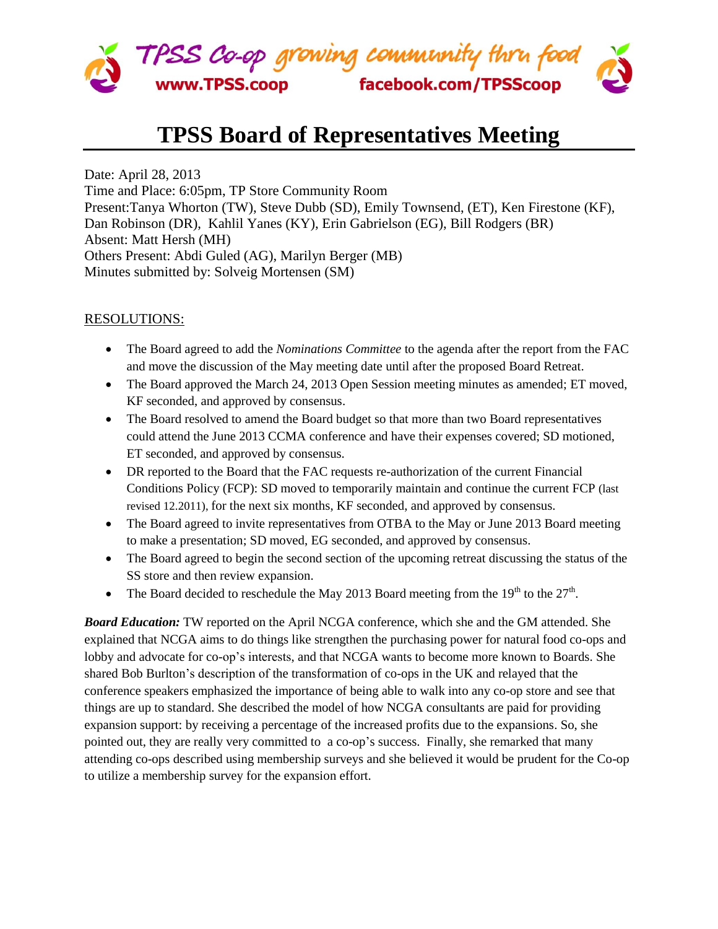

## **TPSS Board of Representatives Meeting**

Date: April 28, 2013 Time and Place: 6:05pm, TP Store Community Room Present:Tanya Whorton (TW), Steve Dubb (SD), Emily Townsend, (ET), Ken Firestone (KF), Dan Robinson (DR), Kahlil Yanes (KY), Erin Gabrielson (EG), Bill Rodgers (BR) Absent: Matt Hersh (MH) Others Present: Abdi Guled (AG), Marilyn Berger (MB) Minutes submitted by: Solveig Mortensen (SM)

## RESOLUTIONS:

- The Board agreed to add the *Nominations Committee* to the agenda after the report from the FAC and move the discussion of the May meeting date until after the proposed Board Retreat.
- The Board approved the March 24, 2013 Open Session meeting minutes as amended; ET moved, KF seconded, and approved by consensus.
- The Board resolved to amend the Board budget so that more than two Board representatives could attend the June 2013 CCMA conference and have their expenses covered; SD motioned, ET seconded, and approved by consensus.
- DR reported to the Board that the FAC requests re-authorization of the current Financial Conditions Policy (FCP): SD moved to temporarily maintain and continue the current FCP (last revised 12.2011), for the next six months, KF seconded, and approved by consensus.
- The Board agreed to invite representatives from OTBA to the May or June 2013 Board meeting to make a presentation; SD moved, EG seconded, and approved by consensus.
- The Board agreed to begin the second section of the upcoming retreat discussing the status of the SS store and then review expansion.
- The Board decided to reschedule the May 2013 Board meeting from the  $19<sup>th</sup>$  to the  $27<sup>th</sup>$ .

*Board Education:* TW reported on the April NCGA conference, which she and the GM attended. She explained that NCGA aims to do things like strengthen the purchasing power for natural food co-ops and lobby and advocate for co-op's interests, and that NCGA wants to become more known to Boards. She shared Bob Burlton's description of the transformation of co-ops in the UK and relayed that the conference speakers emphasized the importance of being able to walk into any co-op store and see that things are up to standard. She described the model of how NCGA consultants are paid for providing expansion support: by receiving a percentage of the increased profits due to the expansions. So, she pointed out, they are really very committed to a co-op's success. Finally, she remarked that many attending co-ops described using membership surveys and she believed it would be prudent for the Co-op to utilize a membership survey for the expansion effort.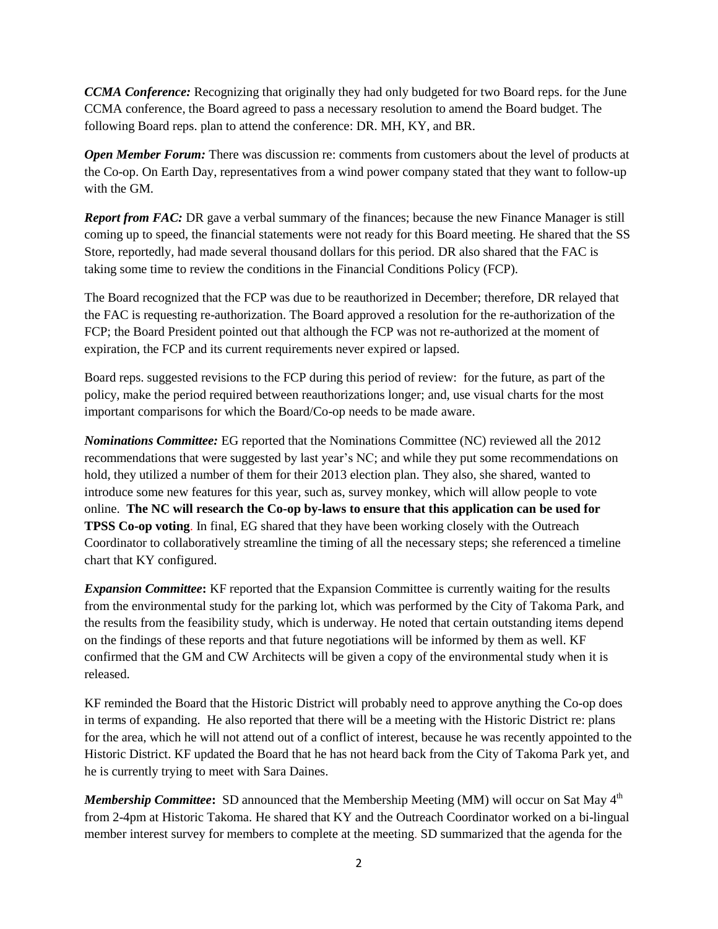*CCMA Conference:* Recognizing that originally they had only budgeted for two Board reps. for the June CCMA conference, the Board agreed to pass a necessary resolution to amend the Board budget. The following Board reps. plan to attend the conference: DR. MH, KY, and BR.

*Open Member Forum:* There was discussion re: comments from customers about the level of products at the Co-op. On Earth Day, representatives from a wind power company stated that they want to follow-up with the GM.

*Report from FAC:* DR gave a verbal summary of the finances; because the new Finance Manager is still coming up to speed, the financial statements were not ready for this Board meeting. He shared that the SS Store, reportedly, had made several thousand dollars for this period. DR also shared that the FAC is taking some time to review the conditions in the Financial Conditions Policy (FCP).

The Board recognized that the FCP was due to be reauthorized in December; therefore, DR relayed that the FAC is requesting re-authorization. The Board approved a resolution for the re-authorization of the FCP; the Board President pointed out that although the FCP was not re-authorized at the moment of expiration, the FCP and its current requirements never expired or lapsed.

Board reps. suggested revisions to the FCP during this period of review: for the future, as part of the policy, make the period required between reauthorizations longer; and, use visual charts for the most important comparisons for which the Board/Co-op needs to be made aware.

*Nominations Committee:* EG reported that the Nominations Committee (NC) reviewed all the 2012 recommendations that were suggested by last year's NC; and while they put some recommendations on hold, they utilized a number of them for their 2013 election plan. They also, she shared, wanted to introduce some new features for this year, such as, survey monkey, which will allow people to vote online. **The NC will research the Co-op by-laws to ensure that this application can be used for TPSS Co-op voting**. In final, EG shared that they have been working closely with the Outreach Coordinator to collaboratively streamline the timing of all the necessary steps; she referenced a timeline chart that KY configured.

*Expansion Committee***:** KF reported that the Expansion Committee is currently waiting for the results from the environmental study for the parking lot, which was performed by the City of Takoma Park, and the results from the feasibility study, which is underway. He noted that certain outstanding items depend on the findings of these reports and that future negotiations will be informed by them as well. KF confirmed that the GM and CW Architects will be given a copy of the environmental study when it is released.

KF reminded the Board that the Historic District will probably need to approve anything the Co-op does in terms of expanding. He also reported that there will be a meeting with the Historic District re: plans for the area, which he will not attend out of a conflict of interest, because he was recently appointed to the Historic District. KF updated the Board that he has not heard back from the City of Takoma Park yet, and he is currently trying to meet with Sara Daines.

*Membership Committee*: SD announced that the Membership Meeting (MM) will occur on Sat May 4<sup>th</sup> from 2-4pm at Historic Takoma. He shared that KY and the Outreach Coordinator worked on a bi-lingual member interest survey for members to complete at the meeting. SD summarized that the agenda for the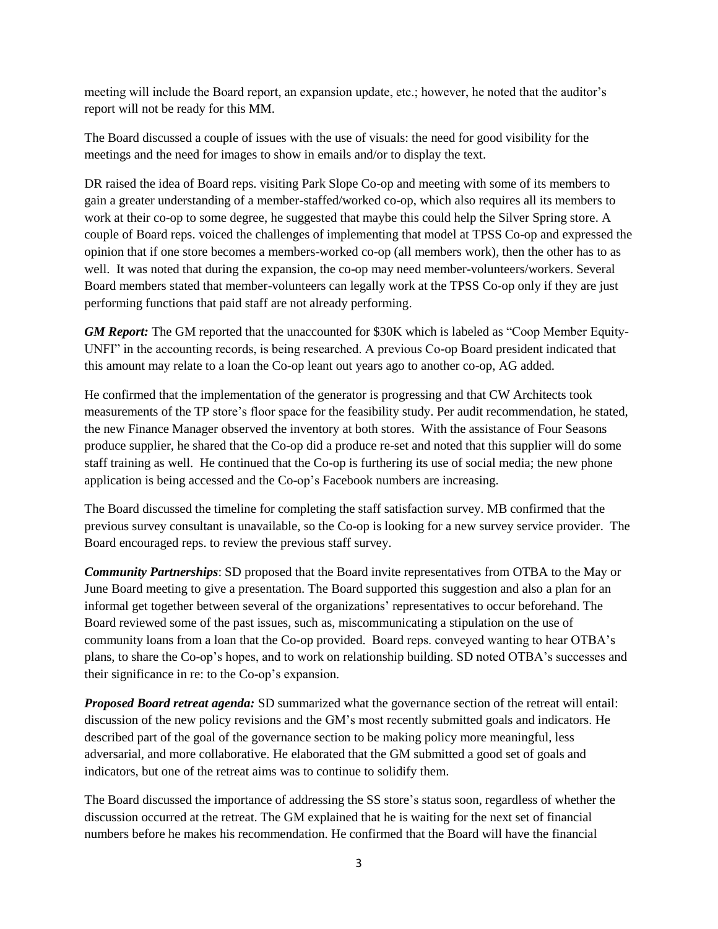meeting will include the Board report, an expansion update, etc.; however, he noted that the auditor's report will not be ready for this MM.

The Board discussed a couple of issues with the use of visuals: the need for good visibility for the meetings and the need for images to show in emails and/or to display the text.

DR raised the idea of Board reps. visiting Park Slope Co-op and meeting with some of its members to gain a greater understanding of a member-staffed/worked co-op, which also requires all its members to work at their co-op to some degree, he suggested that maybe this could help the Silver Spring store. A couple of Board reps. voiced the challenges of implementing that model at TPSS Co-op and expressed the opinion that if one store becomes a members-worked co-op (all members work), then the other has to as well. It was noted that during the expansion, the co-op may need member-volunteers/workers. Several Board members stated that member-volunteers can legally work at the TPSS Co-op only if they are just performing functions that paid staff are not already performing.

*GM Report:* The GM reported that the unaccounted for \$30K which is labeled as "Coop Member Equity-UNFI" in the accounting records, is being researched. A previous Co-op Board president indicated that this amount may relate to a loan the Co-op leant out years ago to another co-op, AG added.

He confirmed that the implementation of the generator is progressing and that CW Architects took measurements of the TP store's floor space for the feasibility study. Per audit recommendation, he stated, the new Finance Manager observed the inventory at both stores. With the assistance of Four Seasons produce supplier, he shared that the Co-op did a produce re-set and noted that this supplier will do some staff training as well. He continued that the Co-op is furthering its use of social media; the new phone application is being accessed and the Co-op's Facebook numbers are increasing.

The Board discussed the timeline for completing the staff satisfaction survey. MB confirmed that the previous survey consultant is unavailable, so the Co-op is looking for a new survey service provider. The Board encouraged reps. to review the previous staff survey.

*Community Partnerships*: SD proposed that the Board invite representatives from OTBA to the May or June Board meeting to give a presentation. The Board supported this suggestion and also a plan for an informal get together between several of the organizations' representatives to occur beforehand. The Board reviewed some of the past issues, such as, miscommunicating a stipulation on the use of community loans from a loan that the Co-op provided. Board reps. conveyed wanting to hear OTBA's plans, to share the Co-op's hopes, and to work on relationship building. SD noted OTBA's successes and their significance in re: to the Co-op's expansion.

*Proposed Board retreat agenda:* SD summarized what the governance section of the retreat will entail: discussion of the new policy revisions and the GM's most recently submitted goals and indicators. He described part of the goal of the governance section to be making policy more meaningful, less adversarial, and more collaborative. He elaborated that the GM submitted a good set of goals and indicators, but one of the retreat aims was to continue to solidify them.

The Board discussed the importance of addressing the SS store's status soon, regardless of whether the discussion occurred at the retreat. The GM explained that he is waiting for the next set of financial numbers before he makes his recommendation. He confirmed that the Board will have the financial